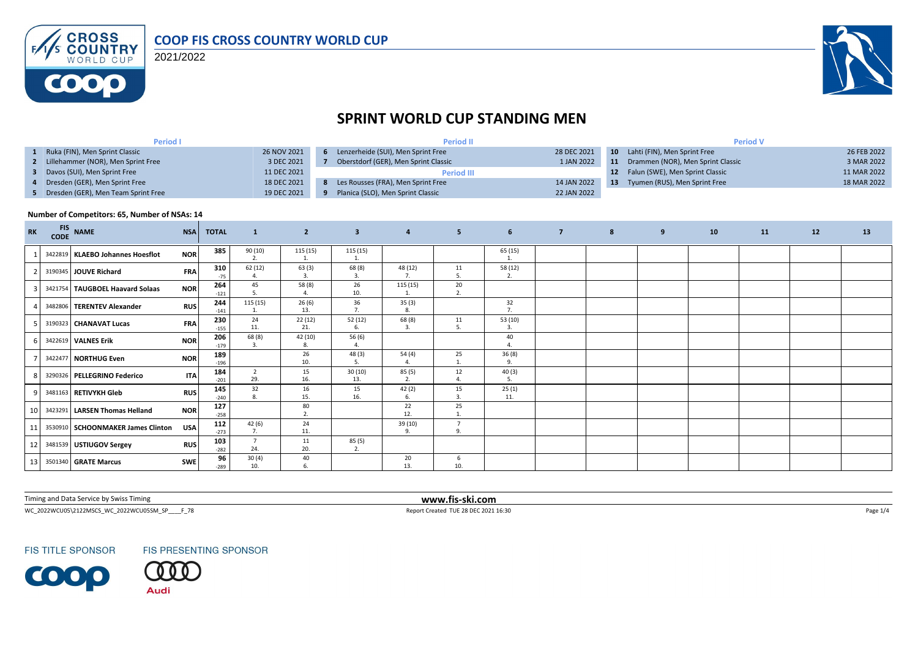

2021/2022



# **SPRINT WORLD CUP STANDING MEN**

| <b>Period I</b>                       |             | <b>Period II</b>                     |             | <b>Period V</b> |                                    |             |  |  |
|---------------------------------------|-------------|--------------------------------------|-------------|-----------------|------------------------------------|-------------|--|--|
| Ruka (FIN), Men Sprint Classic        | 26 NOV 2021 | Lenzerheide (SUI), Men Sprint Free   | 28 DEC 2021 |                 | 10 Lahti (FIN), Men Sprint Free    | 26 FEB 2022 |  |  |
| 2 Lillehammer (NOR), Men Sprint Free  | 3 DEC 2021  | Oberstdorf (GER), Men Sprint Classic | 1 JAN 2022  | 11              | Drammen (NOR), Men Sprint Classic  | 3 MAR 2022  |  |  |
| Davos (SUI), Men Sprint Free          | 11 DEC 2021 | <b>Period III</b>                    |             |                 | 12 Falun (SWE), Men Sprint Classic | 11 MAR 2022 |  |  |
| 4 Dresden (GER), Men Sprint Free      | 18 DEC 2021 | Les Rousses (FRA), Men Sprint Free   | 14 JAN 2022 | -13             | Tyumen (RUS), Men Sprint Free      | 18 MAR 2022 |  |  |
| 5 Dresden (GER), Men Team Sprint Free | 19 DEC 2021 | Planica (SLO), Men Sprint Classic    | 22 JAN 2022 |                 |                                    |             |  |  |

#### **Number of Competitors: 65, Number of NSAs: 14**

| <b>RK</b> | <b>FIS</b><br><b>CODE</b> | <b>NAME</b>                       | <b>NSA</b> | <b>TOTAL</b>  | $\mathbf{1}$           | $\overline{2}$ | $\overline{\mathbf{3}}$ | $\overline{4}$ | 5 <sub>5</sub>       | 6 <sup>1</sup> | $\overline{7}$ | 8 | 9 | 10 | 11 | 12 | 13 |
|-----------|---------------------------|-----------------------------------|------------|---------------|------------------------|----------------|-------------------------|----------------|----------------------|----------------|----------------|---|---|----|----|----|----|
|           |                           | 3422819 KLAEBO Johannes Hoesflot  | <b>NOR</b> | 385           | 90(10)<br>2.           | 115(15)<br>1.  | 115(15)                 |                |                      | 65 (15)        |                |   |   |    |    |    |    |
|           |                           | 3190345 JOUVE Richard             | <b>FRA</b> | 310<br>$-75$  | 62(12)                 | 63(3)<br>3.    | 68 (8)<br>3.            | 48 (12)<br>7.  | 11<br>.5             | 58 (12)<br>2.  |                |   |   |    |    |    |    |
|           |                           | 3421754 TAUGBOEL Haavard Solaas   | <b>NOR</b> | 264<br>$-121$ | 45                     | 58 (8)         | 26<br>10.               | 115(15)        | 20<br>2.             |                |                |   |   |    |    |    |    |
|           |                           | 3482806 TERENTEV Alexander        | <b>RUS</b> | 244<br>$-141$ | 115 (15)<br>1.         | 26(6)<br>13.   | 36<br>7.                | 35(3)<br>8.    |                      | 32<br>7.       |                |   |   |    |    |    |    |
|           |                           | 3190323 CHANAVAT Lucas            | <b>FRA</b> | 230<br>$-155$ | 24<br>11.              | 22(12)<br>21.  | 52 (12)<br>-6.          | 68(8)<br>3.    | 11<br>5.             | 53 (10)<br>-3. |                |   |   |    |    |    |    |
|           |                           | 3422619 VALNES Erik               | <b>NOR</b> | 206<br>$-179$ | 68 (8)<br>$\mathbf{R}$ | 42 (10)<br>8.  | 56 (6)<br>$\Lambda$     |                |                      | 40             |                |   |   |    |    |    |    |
|           |                           | 3422477 NORTHUG Even              | <b>NOR</b> | 189<br>$-196$ |                        | 26<br>10.      | 48 (3)<br>5.            | 54(4)          | 25<br>1.             | 36(8)<br>9.    |                |   |   |    |    |    |    |
|           |                           | 3290326   PELLEGRINO Federico     | <b>ITA</b> | 184<br>$-201$ | 2<br>29.               | 15<br>16.      | 30(10)<br>13.           | 85(5)<br>2.    | 12<br>$\overline{4}$ | 40(3)<br>5.    |                |   |   |    |    |    |    |
|           |                           | 3481163 RETIVYKH Gleb             | <b>RUS</b> | 145<br>$-240$ | 32<br>8                | 16<br>15.      | 15<br>16.               | 42(2)<br>6.    | 15<br>3.             | 25(1)<br>11.   |                |   |   |    |    |    |    |
| 10        |                           | 3423291 LARSEN Thomas Helland     | <b>NOR</b> | 127<br>$-258$ |                        | 80<br>2.       |                         | 22<br>12.      | 25                   |                |                |   |   |    |    |    |    |
| 11        |                           | 3530910 SCHOONMAKER James Clinton | <b>USA</b> | 112<br>$-273$ | 42(6)<br>7.            | 24<br>11.      |                         | 39 (10)<br>9.  | $\overline{7}$<br>9. |                |                |   |   |    |    |    |    |
| 12        |                           | 3481539 USTIUGOV Sergey           | <b>RUS</b> | 103<br>$-282$ | $\overline{7}$<br>24.  | 11<br>20.      | 85 (5)<br>2.            |                |                      |                |                |   |   |    |    |    |    |
| 13        |                           | 3501340 GRATE Marcus              | SWE        | 96<br>$-289$  | 30(4)<br>10.           | 40<br>6.       |                         | 20<br>13.      | -6<br>10.            |                |                |   |   |    |    |    |    |

Timing and Data Service by Swiss Timing **www.fis-ski.com**

WC\_2022WCU05\2122MSCS\_WC\_2022WCU05SM\_SP\_\_\_\_F\_78 <br>
Page 1/4

**FIS TITLE SPONSOR** 



FIS PRESENTING SPONSOR Audi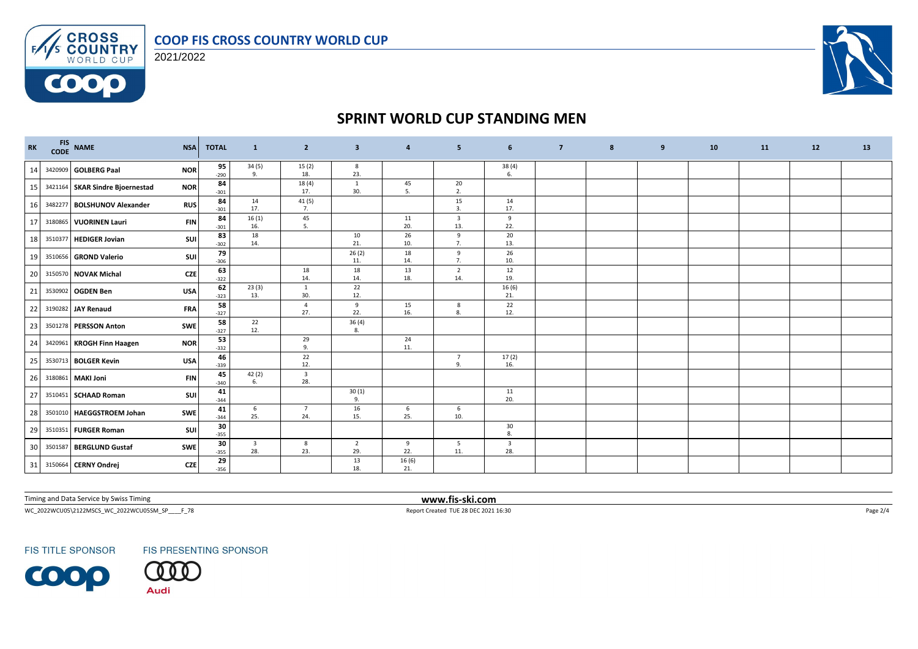### **COOP FIS CROSS COUNTRY WORLD CUP**





## **SPRINT WORLD CUP STANDING MEN**

| <b>RK</b> |         | FIS NAME<br>CODE NAME           | <b>NSA</b> | <b>TOTAL</b> | $\mathbf{1}$                   | $\overline{2}$                          | $\overline{\mathbf{3}}$ | $\overline{4}$ | 5                     | 6                              | $\overline{7}$ | 8 | 9 | 10 | 11 | 12 | 13 |
|-----------|---------|---------------------------------|------------|--------------|--------------------------------|-----------------------------------------|-------------------------|----------------|-----------------------|--------------------------------|----------------|---|---|----|----|----|----|
| 14        |         | 3420909 <b>GOLBERG Paal</b>     | <b>NOR</b> | 95<br>$-290$ | 34 (5)<br>9.                   | 15(2)<br>18.                            | 8<br>23.                |                |                       | $\frac{38(4)}{6}$              |                |   |   |    |    |    |    |
| 15        |         | 3421164 SKAR Sindre Bjoernestad | <b>NOR</b> | 84<br>$-301$ |                                | 18(4)<br>17.                            | $\mathbf{1}$<br>30.     | 45<br>5.       | 20<br>2.              |                                |                |   |   |    |    |    |    |
| 16        |         | 3482277 BOLSHUNOV Alexander     | <b>RUS</b> | 84<br>$-301$ | 14<br>17.                      | 41 (5)<br>7.                            |                         |                | 15<br>3.              | 14<br>17.                      |                |   |   |    |    |    |    |
| 17        |         | 3180865 VUORINEN Lauri          | <b>FIN</b> | 84<br>$-301$ | 16(1)<br>16.                   | 45<br>5.                                |                         | 11<br>20.      | 3<br>13.              | 9<br>22.                       |                |   |   |    |    |    |    |
| 18        |         | 3510377 HEDIGER Jovian          | <b>SUI</b> | 83<br>$-302$ | 18<br>14.                      |                                         | 10<br>21.               | 26<br>10.      | 9<br>7.               | 20<br>13.                      |                |   |   |    |    |    |    |
| 19        |         | 3510656 GROND Valerio           | SUI        | 79<br>$-306$ |                                |                                         | 26(2)<br>11.            | 18<br>14.      | 9<br>7.               | 26<br>10.                      |                |   |   |    |    |    |    |
| 20        |         | 3150570 NOVAK Michal            | <b>CZE</b> | 63<br>$-322$ |                                | 18<br>14.                               | 18<br>14.               | 13<br>18.      | $\overline{2}$<br>14. | 12<br>19.                      |                |   |   |    |    |    |    |
| 21        |         | 3530902 OGDEN Ben               | <b>USA</b> | 62<br>$-323$ | 23(3)<br>13.                   | 1<br>30.                                | 22<br>12.               |                |                       | 16(6)<br>21.                   |                |   |   |    |    |    |    |
| 22        |         | 3190282 JAY Renaud              | <b>FRA</b> | 58<br>$-327$ |                                | $\overline{4}$<br>27.                   | 9<br>22.                | 15<br>16.      | 8<br>8.               | 22<br>12.                      |                |   |   |    |    |    |    |
| 23        |         | 3501278 PERSSON Anton           | SWE        | 58<br>$-327$ | 22<br>12.                      |                                         | 36(4)<br>8.             |                |                       |                                |                |   |   |    |    |    |    |
| 24        |         | 3420961 KROGH Finn Haagen       | <b>NOR</b> | 53<br>$-332$ |                                | $\begin{array}{c} 29 \\ 9. \end{array}$ |                         | 24<br>11.      |                       |                                |                |   |   |    |    |    |    |
| 25        |         | 3530713 BOLGER Kevin            | <b>USA</b> | 46<br>$-339$ |                                | 22<br>12.                               |                         |                | 7<br>9.               | 17(2)<br>16.                   |                |   |   |    |    |    |    |
| 26        |         | 3180861 MAKI Joni               | <b>FIN</b> | 45<br>$-340$ | 42 (2)<br>6.                   | $\overline{\mathbf{3}}$<br>28.          |                         |                |                       |                                |                |   |   |    |    |    |    |
| 27        |         | 3510451 SCHAAD Roman            | <b>SUI</b> | 41<br>$-344$ |                                |                                         | 30(1)<br>9.             |                |                       | 11<br>20.                      |                |   |   |    |    |    |    |
| 28        |         | 3501010 HAEGGSTROEM Johan       | SWE        | 41<br>$-344$ | 6<br>25.                       | $\overline{7}$<br>24.                   | 16<br>15.               | 6<br>25.       | 6<br>10.              |                                |                |   |   |    |    |    |    |
| 29        |         | 3510351 FURGER Roman            | <b>SUI</b> | 30<br>$-355$ |                                |                                         |                         |                |                       | 30<br>8.                       |                |   |   |    |    |    |    |
| 30        | 3501587 | <b>BERGLUND Gustaf</b>          | SWE        | 30<br>$-355$ | $\overline{\mathbf{3}}$<br>28. | 8<br>23.                                | $\overline{2}$<br>29.   | 9<br>22.       | 5<br>11.              | $\overline{\mathbf{3}}$<br>28. |                |   |   |    |    |    |    |
| 31        |         | 3150664 CERNY Ondrej            | <b>CZE</b> | 29<br>$-356$ |                                |                                         | 13<br>18.               | 16(6)<br>21.   |                       |                                |                |   |   |    |    |    |    |

Timing and Data Service by Swiss Timing **www.fis-ski.com**

WC\_2022WCU05\2122MSCS\_WC\_2022WCU05SM\_SP\_\_\_\_F\_78 <br>
Page 2/4 Report Created TUE 28 DEC 2021 16:30

**FIS TITLE SPONSOR** 



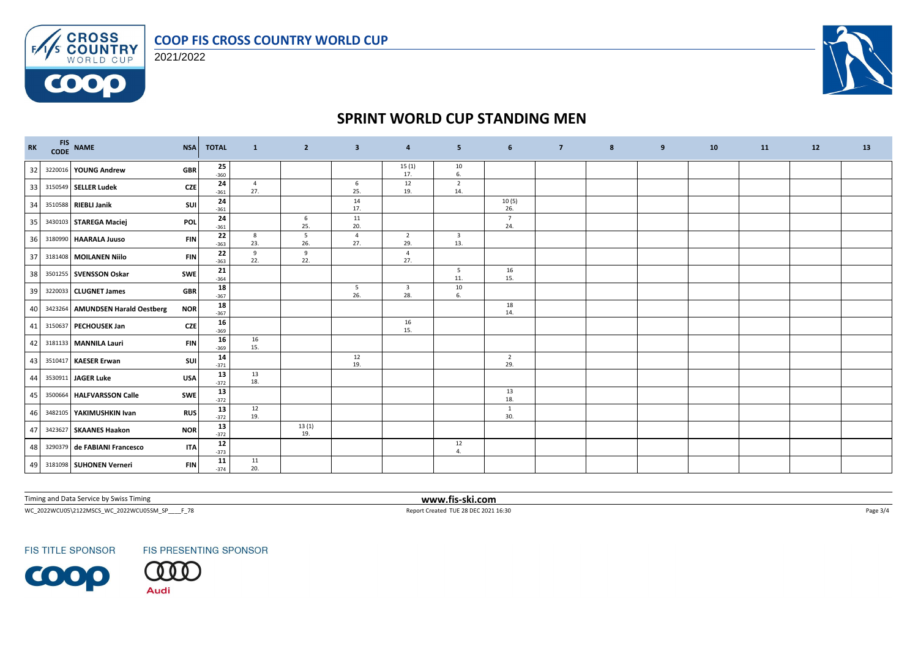

**CROSS**<br>**COUNTRY**<br>WORLD CUP 2021/2022

 $F/1/s$ 

0000



# **SPRINT WORLD CUP STANDING MEN**

| $\mathbf{R}\mathbf{K}$ | FIS NAME                         | <b>NSA</b> | <b>TOTAL</b> | $\mathbf{1}$ | $\overline{2}$ | $\overline{\mathbf{3}}$ | 4                              | 5                              | 6                      | $\overline{7}$ | 8 | 9 | 10 | <b>11</b> | 12 | 13 |
|------------------------|----------------------------------|------------|--------------|--------------|----------------|-------------------------|--------------------------------|--------------------------------|------------------------|----------------|---|---|----|-----------|----|----|
| 32                     | 3220016 YOUNG Andrew             | <b>GBR</b> | 25<br>$-360$ |              |                |                         | 15(1)<br>17.                   | 10<br>6.                       |                        |                |   |   |    |           |    |    |
| 33                     | 3150549 SELLER Ludek             | <b>CZE</b> | 24<br>$-361$ | 4<br>27.     |                | 6<br>25.                | 12<br>19.                      | $\overline{2}$<br>14.          |                        |                |   |   |    |           |    |    |
| 34                     | 3510588 RIEBLI Janik             | <b>SUI</b> | 24<br>$-361$ |              |                | 14<br>17.               |                                |                                | 10(5)<br>26.           |                |   |   |    |           |    |    |
| 35                     | 3430103 STAREGA Maciej           | POL        | 24<br>$-361$ |              | 6<br>25.       | 11<br>20.               |                                |                                | $7\overline{ }$<br>24. |                |   |   |    |           |    |    |
| 36                     | 3180990 HAARALA Juuso            | <b>FIN</b> | 22<br>$-363$ | 8<br>23.     | 5<br>26.       | $\overline{4}$<br>27.   | $\overline{2}$<br>29.          | $\overline{\mathbf{3}}$<br>13. |                        |                |   |   |    |           |    |    |
| 37                     | 3181408 MOILANEN Niilo           | <b>FIN</b> | 22<br>$-363$ | 9<br>22.     | 9<br>22.       |                         | $\overline{4}$<br>27.          |                                |                        |                |   |   |    |           |    |    |
| 38                     | 3501255 SVENSSON Oskar           | <b>SWE</b> | 21<br>$-364$ |              |                |                         |                                | 5<br>11.                       | 16<br>15.              |                |   |   |    |           |    |    |
| 39                     | 3220033 CLUGNET James            | <b>GBR</b> | 18<br>$-367$ |              |                | $5\overline{5}$<br>26.  | $\overline{\mathbf{3}}$<br>28. | 10<br>6.                       |                        |                |   |   |    |           |    |    |
| 40                     | 3423264 AMUNDSEN Harald Oestberg | <b>NOR</b> | 18<br>$-367$ |              |                |                         |                                |                                | 18<br>14.              |                |   |   |    |           |    |    |
| 41                     | 3150637 PECHOUSEK Jan            | <b>CZE</b> | 16<br>$-369$ |              |                |                         | 16<br>15.                      |                                |                        |                |   |   |    |           |    |    |
| 42                     | 3181133 MANNILA Lauri            | <b>FIN</b> | 16<br>$-369$ | 16<br>15.    |                |                         |                                |                                |                        |                |   |   |    |           |    |    |
| 43                     | 3510417 KAESER Erwan             | SUI        | 14<br>$-371$ |              |                | 12<br>19.               |                                |                                | $\overline{2}$<br>29.  |                |   |   |    |           |    |    |
| 44                     | 3530911 JAGER Luke               | <b>USA</b> | 13<br>$-372$ | 13<br>18.    |                |                         |                                |                                |                        |                |   |   |    |           |    |    |
| 45                     | 3500664 HALFVARSSON Calle        | <b>SWE</b> | 13<br>$-372$ |              |                |                         |                                |                                | 13<br>18.              |                |   |   |    |           |    |    |
| 46                     | 3482105 YAKIMUSHKIN Ivan         | <b>RUS</b> | 13<br>$-372$ | 12<br>19.    |                |                         |                                |                                | 1<br>30.               |                |   |   |    |           |    |    |
| 47                     | 3423627 SKAANES Haakon           | <b>NOR</b> | 13<br>$-372$ |              | 13(1)<br>19.   |                         |                                |                                |                        |                |   |   |    |           |    |    |
| 48                     | 3290379 de FABIANI Francesco     | <b>ITA</b> | 12<br>$-373$ |              |                |                         |                                | 12<br>$\overline{4}$           |                        |                |   |   |    |           |    |    |
|                        | 49 3181098 SUHONEN Verneri       | <b>FIN</b> | 11<br>$-374$ | 11<br>20.    |                |                         |                                |                                |                        |                |   |   |    |           |    |    |

Timing and Data Service by Swiss Timing **www.fis-ski.com**

WC\_2022WCU05\2122MSCS\_WC\_2022WCU05SM\_SP\_\_\_\_F\_78 <br>
Page 3/4 Report Created TUE 28 DEC 2021 16:30

**FIS TITLE SPONSOR** 

**FIS PRESENTING SPONSOR**